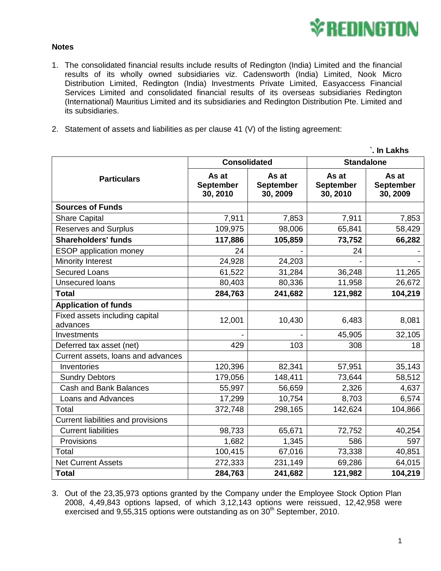

**`. In Lakhs**

## **Notes**

- 1. The consolidated financial results include results of Redington (India) Limited and the financial results of its wholly owned subsidiaries viz. Cadensworth (India) Limited, Nook Micro Distribution Limited, Redington (India) Investments Private Limited, Easyaccess Financial Services Limited and consolidated financial results of its overseas subsidiaries Redington (International) Mauritius Limited and its subsidiaries and Redington Distribution Pte. Limited and its subsidiaries.
- 2. Statement of assets and liabilities as per clause 41 (V) of the listing agreement:

|                                            |                                       |                                       |                                       | . In Lakns                            |  |
|--------------------------------------------|---------------------------------------|---------------------------------------|---------------------------------------|---------------------------------------|--|
| <b>Particulars</b>                         | <b>Consolidated</b>                   |                                       | <b>Standalone</b>                     |                                       |  |
|                                            | As at<br><b>September</b><br>30, 2010 | As at<br><b>September</b><br>30, 2009 | As at<br><b>September</b><br>30, 2010 | As at<br><b>September</b><br>30, 2009 |  |
| <b>Sources of Funds</b>                    |                                       |                                       |                                       |                                       |  |
| <b>Share Capital</b>                       | 7,911                                 | 7,853                                 | 7,911                                 | 7,853                                 |  |
| <b>Reserves and Surplus</b>                | 109,975                               | 98,006                                | 65,841                                | 58,429                                |  |
| <b>Shareholders' funds</b>                 | 117,886                               | 105,859                               | 73,752                                | 66,282                                |  |
| <b>ESOP</b> application money              | 24                                    |                                       | 24                                    |                                       |  |
| Minority Interest                          | 24,928                                | 24,203                                |                                       |                                       |  |
| <b>Secured Loans</b>                       | 61,522                                | 31,284                                | 36,248                                | 11,265                                |  |
| <b>Unsecured loans</b>                     | 80,403                                | 80,336                                | 11,958                                | 26,672                                |  |
| <b>Total</b>                               | 284,763                               | 241,682                               | 121,982                               | 104,219                               |  |
| <b>Application of funds</b>                |                                       |                                       |                                       |                                       |  |
| Fixed assets including capital<br>advances | 12,001                                | 10,430                                | 6,483                                 | 8,081                                 |  |
| Investments                                |                                       |                                       | 45,905                                | 32,105                                |  |
| Deferred tax asset (net)                   | 429                                   | 103                                   | 308                                   | 18                                    |  |
| Current assets, loans and advances         |                                       |                                       |                                       |                                       |  |
| Inventories                                | 120,396                               | 82,341                                | 57,951                                | 35,143                                |  |
| <b>Sundry Debtors</b>                      | 179,056                               | 148,411                               | 73,644                                | 58,512                                |  |
| Cash and Bank Balances                     | 55,997                                | 56,659                                | 2,326                                 | 4,637                                 |  |
| Loans and Advances                         | 17,299                                | 10,754                                | 8,703                                 | 6,574                                 |  |
| Total                                      | 372,748                               | 298,165                               | 142,624                               | 104,866                               |  |
| Current liabilities and provisions         |                                       |                                       |                                       |                                       |  |
| <b>Current liabilities</b>                 | 98,733                                | 65,671                                | 72,752                                | 40,254                                |  |
| Provisions                                 | 1,682                                 | 1,345                                 | 586                                   | 597                                   |  |
| Total                                      | 100,415                               | 67,016                                | 73,338                                | 40,851                                |  |
| <b>Net Current Assets</b>                  | 272,333                               | 231,149                               | 69,286                                | 64,015                                |  |
| <b>Total</b>                               | 284,763                               | 241,682                               | 121,982                               | 104,219                               |  |

3. Out of the 23,35,973 options granted by the Company under the Employee Stock Option Plan 2008, 4,49,843 options lapsed, of which 3,12,143 options were reissued, 12,42,958 were exercised and 9,55,315 options were outstanding as on  $30<sup>th</sup>$  September, 2010.